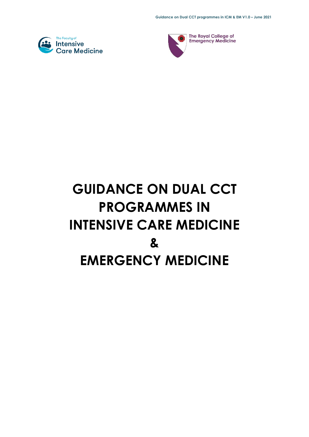



The Royal College of **Emergency Medicine** 

# **GUIDANCE ON DUAL CCT PROGRAMMES IN INTENSIVE CARE MEDICINE & EMERGENCY MEDICINE**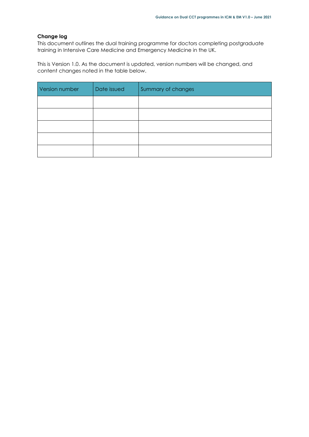#### **Change log**

This document outlines the dual training programme for doctors completing postgraduate training in Intensive Care Medicine and Emergency Medicine in the UK.

This is Version 1.0. As the document is updated, version numbers will be changed, and content changes noted in the table below.

| Version number | Date issued | Summary of changes |
|----------------|-------------|--------------------|
|                |             |                    |
|                |             |                    |
|                |             |                    |
|                |             |                    |
|                |             |                    |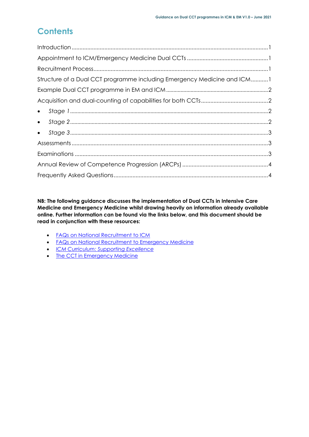# **Contents**

| Structure of a Dual CCT programme including Emergency Medicine and ICM1 |
|-------------------------------------------------------------------------|
|                                                                         |
|                                                                         |
|                                                                         |
|                                                                         |
|                                                                         |
|                                                                         |
|                                                                         |
|                                                                         |
|                                                                         |

**NB: The following guidance discusses the implementation of Dual CCTs in Intensive Care Medicine and Emergency Medicine whilst drawing heavily on information already available online. Further information can be found via the links below, and this document should be read in conjunction with these resources:**

- FAQs on National [Recruitment](https://www.ficm.ac.uk/careers-recruitment-workforce/recruitment) to ICM
- **•** FAQs on National [Recruitment](https://www.rcem.ac.uk/RCEM/Exams_Training/UK_Trainees/Applying_for_Specialty_Training/RCEM/Exams_Training/UK_Trainees/ePortfolio.aspx) to Emergency Medicine
- *ICM [Curriculum:](https://www.ficm.ac.uk/sites/default/files/icm_curriculum_supporting_excellence_v1.0.pdf) Supporting Excellence*
- The CCT in [Emergency](https://rcemcurriculum.co.uk/) Medicine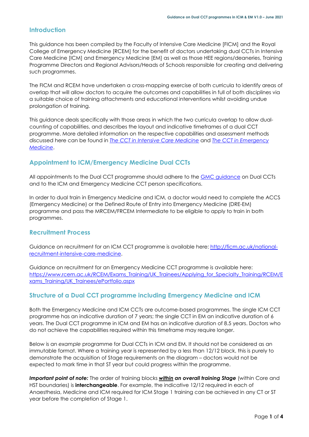#### <span id="page-3-0"></span>**Introduction**

This guidance has been compiled by the Faculty of Intensive Care Medicine [FICM] and the Royal College of Emergency Medicine [RCEM] for the benefit of doctors undertaking dual CCTs in Intensive Care Medicine [ICM] and Emergency Medicine [EM] as well as those HEE regions/deaneries, Training Programme Directors and Regional Advisors/Heads of Schools responsible for creating and delivering such programmes.

The FICM and RCEM have undertaken a cross-mapping exercise of both curricula to identify areas of overlap that will allow doctors to acquire the outcomes and capabilities in full of both disciplines via a suitable choice of training attachments and educational interventions whilst avoiding undue prolongation of training.

This guidance deals specifically with those areas in which the two curricula overlap to allow dualcounting of capabilities, and describes the layout and indicative timeframes of a dual CCT programme. More detailed information on the respective capabilities and assessment methods discussed here can be found in *The CCT in Intensive Care [Medicine](https://www.ficm.ac.uk/sites/default/files/icm_curriculum_supporting_excellence_v1.0.pdf)* and *The CCT in [Emergency](https://rcemcurriculum.co.uk/) [Medicine](https://rcemcurriculum.co.uk/)*.

# <span id="page-3-1"></span>**Appointment to ICM/Emergency Medicine Dual CCTs**

All appointments to the Dual CCT programme should adhere to the **GMC** [guidance](https://www.gmc-uk.org/education/how-we-quality-assure/royal-colleges-and-faculties/dual-certificate-of-completion-of-training-ccts) on Dual CCTs and to the ICM and Emergency Medicine CCT person specifications.

In order to dual train in Emergency Medicine and ICM, a doctor would need to complete the ACCS (Emergency Medicine) or the Defined Route of Entry into Emergency Medicine (DRE-EM) programme and pass the MRCEM/FRCEM Intermediate to be eligible to apply to train in both programmes.

# <span id="page-3-2"></span>**Recruitment Process**

Guidance on recruitment for an ICM CCT programme is available here: [http://ficm.ac.uk/national](http://ficm.ac.uk/national-recruitment-intensive-care-medicine)[recruitment-intensive-care-medicine.](http://ficm.ac.uk/national-recruitment-intensive-care-medicine)

Guidance on recruitment for an Emergency Medicine CCT programme is available here: [https://www.rcem.ac.uk/RCEM/Exams\\_Training/UK\\_Trainees/Applying\\_for\\_Specialty\\_Training/RCEM/E](https://www.rcem.ac.uk/RCEM/Exams_Training/UK_Trainees/Applying_for_Specialty_Training/RCEM/Exams_Training/UK_Trainees/ePortfolio.aspx) [xams\\_Training/UK\\_Trainees/ePortfolio.aspx](https://www.rcem.ac.uk/RCEM/Exams_Training/UK_Trainees/Applying_for_Specialty_Training/RCEM/Exams_Training/UK_Trainees/ePortfolio.aspx)

# <span id="page-3-3"></span>**Structure of a Dual CCT programme including Emergency Medicine and ICM**

Both the Emergency Medicine and ICM CCTs are outcome-based programmes. The single ICM CCT programme has an indicative duration of 7 years; the single CCT in EM an indicative duration of 6 years. The Dual CCT programme in ICM and EM has an indicative duration of 8.5 years. Doctors who do not achieve the capabilities required within this timeframe may require longer.

Below is an *example* programme for Dual CCTs in ICM and EM. It should not be considered as an immutable format. Where a training year is represented by a less than 12/12 block, this is purely to demonstrate the acquisition of Stage requirements on the diagram – doctors would not be expected to mark time in that ST year but could progress within the programme.

*Important point of note:* The order of training blocks *within an overall training Stage* (within Core and HST boundaries) is **interchangeable**. For example, the indicative 12/12 required in each of Anaesthesia, Medicine and ICM required for ICM Stage 1 training can be achieved in any CT or ST year before the completion of Stage 1.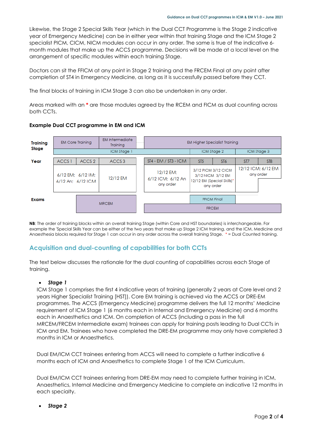Likewise, the Stage 2 Special Skills Year (which in the Dual CCT Programme is the Stage 2 indicative year of Emergency Medicine) can be in either year within that training Stage and the ICM Stage 2 specialist PICM, CICM, NICM modules can occur in any order. The same is true of the indicative 6 month modules that make up the ACCS programme. Decisions will be made at a local level on the arrangement of specific modules within each training Stage.

Doctors can sit the FFICM at any point in Stage 2 training and the FRCEM Final at any point after completion of ST4 in Emergency Medicine, as long as it is successfully passed before they CCT.

The final blocks of training in ICM Stage 3 can also be undertaken in any order.

Areas marked with an **\*** are those modules agreed by the RCEM and FICM as dual counting across both CCTs.



#### <span id="page-4-0"></span>**Example Dual CCT programme in EM and ICM**

**NB**: The order of training blocks within an overall training Stage (within Core and HST boundaries) is interchangeable. For example the 'Special Skills Year can be either of the two years that make up Stage 2 ICM training, and the ICM, Medicine and Anaesthesia blocks required for Stage 1 can occur in any order across the overall training Stage. \* = Dual Counted training.

# <span id="page-4-1"></span>**Acquisition and dual-counting of capabilities for both CCTs**

The text below discusses the rationale for the dual counting of capabilities across each Stage of training.

#### <span id="page-4-2"></span>*Stage 1*

ICM Stage 1 comprises the first 4 indicative years of training (generally 2 years at Core level and 2 years Higher Specialist Training [HST]). Core EM training is achieved via the ACCS or DRE-EM programmes. The ACCS (Emergency Medicine) programme delivers the full 12 months' Medicine requirement of ICM Stage 1 (6 months each in Internal and Emergency Medicine) and 6 months each in Anaesthetics and ICM. On completion of ACCS (including a pass in the full MRCEM/FRCEM Intermediate exam) trainees can apply for training posts leading to Dual CCTs in ICM and EM. Trainees who have completed the DRE-EM programme may only have completed 3 months in ICM or Anaesthetics.

Dual EM/ICM CCT trainees entering from ACCS will need to complete a further indicative 6 months each of ICM and Anaesthetics to complete Stage 1 of the ICM Curriculum.

Dual EM/ICM CCT trainees entering from DRE-EM may need to complete further training in ICM, Anaesthetics, Internal Medicine and Emergency Medicine to complete an indicative 12 months in each specialty.

<span id="page-4-3"></span>*Stage 2*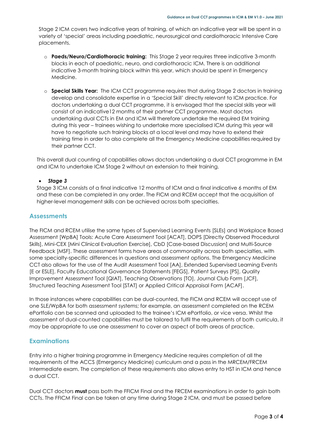Stage 2 ICM covers two indicative years of training, of which an indicative year will be spent in a variety of 'special' areas including paediatric, neurosurgical and cardiothoracic Intensive Care placements.

- o **Paeds/Neuro/Cardiothoracic training:** This Stage 2 year requires three indicative 3-month blocks in each of paediatric, neuro, and cardiothoracic ICM. There is an additional indicative 3-month training block within this year, which should be spent in Emergency Medicine.
- o **Special Skills Year:** The ICM CCT programme requires that during Stage 2 doctors in training develop and consolidate expertise in a 'Special Skill' directly relevant to ICM practice. For doctors undertaking a dual CCT programme, it is envisaged that the special skills year will consist of an indicative12 months of their partner CCT programme. Most doctors undertaking dual CCTs in EM and ICM will therefore undertake the required EM training during this year – trainees wishing to undertake more specialised ICM during this year will have to negotiate such training blocks at a local level and may have to extend their training time in order to also complete all the Emergency Medicine capabilities required by their partner CCT.

This overall dual counting of capabilities allows doctors undertaking a dual CCT programme in EM and ICM to undertake ICM Stage 2 without an extension to their training.

#### <span id="page-5-0"></span>*Stage 3*

Stage 3 ICM consists of a final indicative 12 months of ICM and a final indicative 6 months of EM and these can be completed in any order. The FICM and RCEM accept that the acquisition of higher-level management skills can be achieved across both specialties.

#### <span id="page-5-1"></span>**Assessments**

The FICM and RCEM utilise the same types of Supervised Learning Events [SLEs] and Workplace Based Assessment [WpBA] Tools: Acute Care Assessment Tool [ACAT], DOPS [Directly Observed Procedural Skills], Mini-CEX [Mini Clinical Evaluation Exercise], CbD [Case-based Discussion] and Multi-Source Feedback [MSF]. These assessment forms have areas of commonality across both specialties, with some specialty-specific differences in questions and assessment options. The Emergency Medicine CCT also allows for the use of the Audit Assessment Tool [AA], Extended Supervised Learning Events [E or ESLE], Faculty Educational Governance Statements [FEGS], Patient Surveys [PS], Quality Improvement Assessment Tool [QIAT], Teaching Observations [TO], Journal Club Form [JCF], Structured Teaching Assessment Tool [STAT] or Applied Critical Appraisal Form [ACAF].

In those instances where capabilities can be dual-counted, the FICM and RCEM will accept use of one SLE/WpBA for both assessment systems; for example, an assessment completed on the RCEM ePortfolio can be scanned and uploaded to the trainee's ICM ePortfolio, or vice versa. Whilst the assessment of dual-counted capabilities must be tailored to fulfil the requirements of both curricula, it may be appropriate to use one assessment to cover an aspect of both areas of practice.

#### <span id="page-5-2"></span>**Examinations**

Entry into a higher training programme in Emergency Medicine requires completion of all the requirements of the ACCS (Emergency Medicine) curriculum and a pass in the MRCEM/FRCEM Intermediate exam. The completion of these requirements also allows entry to HST in ICM and hence a dual CCT.

Dual CCT doctors **must** pass both the FFICM Final and the FRCEM examinations in order to gain both CCTs. The FFICM Final can be taken at any time during Stage 2 ICM, and must be passed before